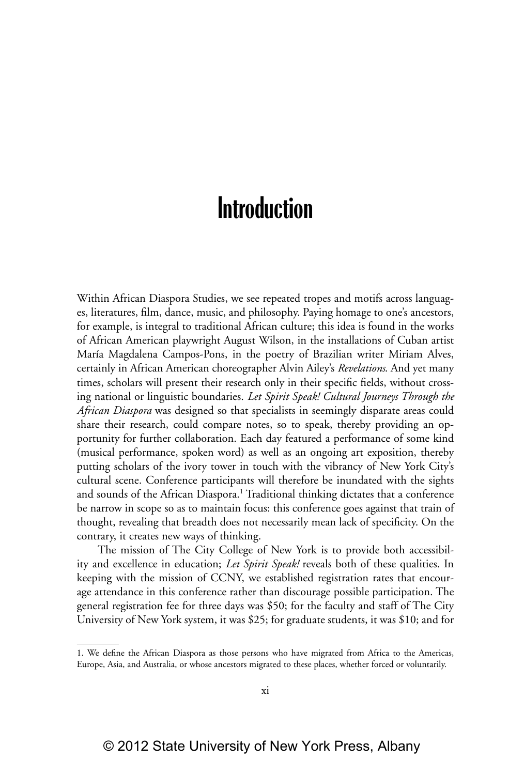## **Introduction**

Within African Diaspora Studies, we see repeated tropes and motifs across languages, literatures, film, dance, music, and philosophy. Paying homage to one's ancestors, for example, is integral to traditional African culture; this idea is found in the works of African American playwright August Wilson, in the installations of Cuban artist María Magdalena Campos-Pons, in the poetry of Brazilian writer Miriam Alves, certainly in African American choreographer Alvin Ailey's *Revelations*. And yet many times, scholars will present their research only in their specific fields, without crossing national or linguistic boundaries. *Let Spirit Speak! Cultural Journeys Through the African Diaspora* was designed so that specialists in seemingly disparate areas could share their research, could compare notes, so to speak, thereby providing an opportunity for further collaboration. Each day featured a performance of some kind (musical performance, spoken word) as well as an ongoing art exposition, thereby putting scholars of the ivory tower in touch with the vibrancy of New York City's cultural scene. Conference participants will therefore be inundated with the sights and sounds of the African Diaspora.<sup>1</sup> Traditional thinking dictates that a conference be narrow in scope so as to maintain focus: this conference goes against that train of thought, revealing that breadth does not necessarily mean lack of specificity. On the contrary, it creates new ways of thinking.

The mission of The City College of New York is to provide both accessibility and excellence in education; *Let Spirit Speak!* reveals both of these qualities. In keeping with the mission of CCNY, we established registration rates that encourage attendance in this conference rather than discourage possible participation. The general registration fee for three days was \$50; for the faculty and staff of The City University of New York system, it was \$25; for graduate students, it was \$10; and for

<sup>1.</sup> We define the African Diaspora as those persons who have migrated from Africa to the Americas, Europe, Asia, and Australia, or whose ancestors migrated to these places, whether forced or voluntarily.